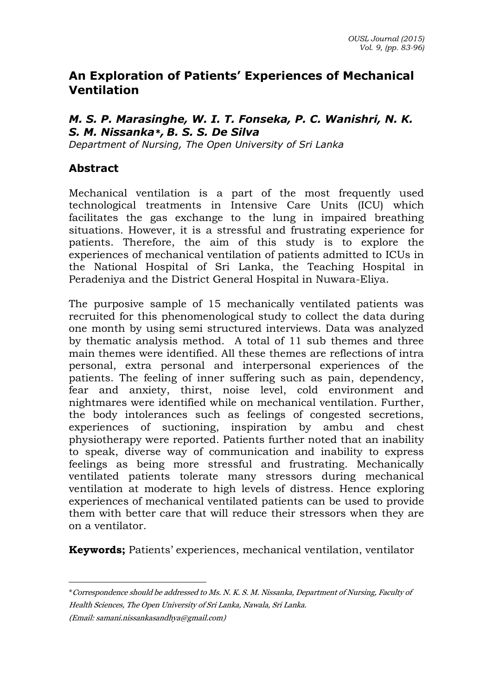# **An Exploration of Patients' Experiences of Mechanical Ventilation**

### *M. S. P. Marasinghe, W. I. T. Fonseka, P. C. Wanishri, N. K. S. M. Nissanka\*, B. S. S. De Silva*

*Department of Nursing, The Open University of Sri Lanka*

### **Abstract**

 $\overline{a}$ 

Mechanical ventilation is a part of the most frequently used technological treatments in Intensive Care Units (ICU) which facilitates the gas exchange to the lung in impaired breathing situations. However, it is a stressful and frustrating experience for patients. Therefore, the aim of this study is to explore the experiences of mechanical ventilation of patients admitted to ICUs in the National Hospital of Sri Lanka, the Teaching Hospital in Peradeniya and the District General Hospital in Nuwara-Eliya.

The purposive sample of 15 mechanically ventilated patients was recruited for this phenomenological study to collect the data during one month by using semi structured interviews. Data was analyzed by thematic analysis method. A total of 11 sub themes and three main themes were identified. All these themes are reflections of intra personal, extra personal and interpersonal experiences of the patients. The feeling of inner suffering such as pain, dependency, fear and anxiety, thirst, noise level, cold environment and nightmares were identified while on mechanical ventilation. Further, the body intolerances such as feelings of congested secretions, experiences of suctioning, inspiration by ambu and chest physiotherapy were reported. Patients further noted that an inability to speak, diverse way of communication and inability to express feelings as being more stressful and frustrating. Mechanically ventilated patients tolerate many stressors during mechanical ventilation at moderate to high levels of distress. Hence exploring experiences of mechanical ventilated patients can be used to provide them with better care that will reduce their stressors when they are on a ventilator.

**Keywords;** Patients' experiences, mechanical ventilation, ventilator

<sup>\*</sup>Correspondence should be addressed to Ms. N. K. S. M. Nissanka, Department of Nursing, Faculty of Health Sciences, The Open University of Sri Lanka, Nawala, Sri Lanka. (Email[: samani.nissankasandhya@gmail.com\)](mailto:samani.nissankasandhya@gmail.com)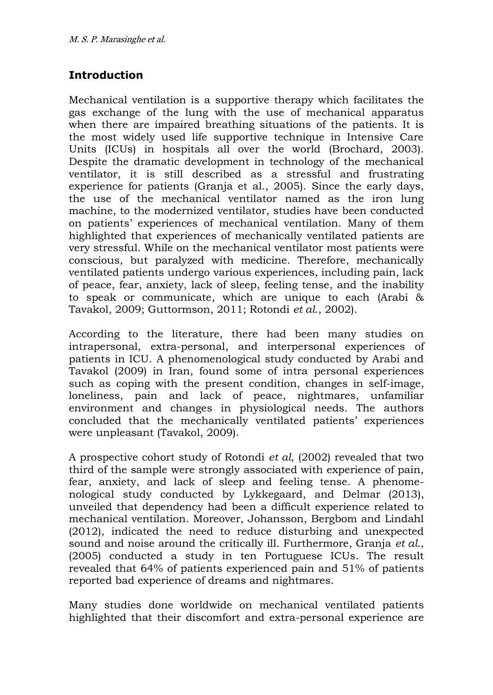## **Introduction**

Mechanical ventilation is a supportive therapy which facilitates the gas exchange of the lung with the use of mechanical apparatus when there are impaired breathing situations of the patients. It is the most widely used life supportive technique in Intensive Care Units (ICUs) in hospitals all over the world (Brochard, 2003). Despite the dramatic development in technology of the mechanical ventilator, it is still described as a stressful and frustrating experience for patients (Granja et al., 2005). Since the early days, the use of the mechanical ventilator named as the iron lung machine, to the modernized ventilator, studies have been conducted on patients' experiences of mechanical ventilation. Many of them highlighted that experiences of mechanically ventilated patients are very stressful. While on the mechanical ventilator most patients were conscious, but paralyzed with medicine. Therefore, mechanically ventilated patients undergo various experiences, including pain, lack of peace, fear, anxiety, lack of sleep, feeling tense, and the inability to speak or communicate, which are unique to each (Arabi & Tavakol, 2009; Guttormson, 2011; Rotondi *et al*., 2002).

According to the literature, there had been many studies on intrapersonal, extra-personal, and interpersonal experiences of patients in ICU. A phenomenological study conducted by Arabi and Tavakol (2009) in Iran, found some of intra personal experiences such as coping with the present condition, changes in self-image, loneliness, pain and lack of peace, nightmares, unfamiliar environment and changes in physiological needs. The authors concluded that the mechanically ventilated patients' experiences were unpleasant (Tavakol, 2009).

A prospective cohort study of Rotondi *et al*, (2002) revealed that two third of the sample were strongly associated with experience of pain, fear, anxiety, and lack of sleep and feeling tense. A phenomenological study conducted by Lykkegaard, and Delmar (2013), unveiled that dependency had been a difficult experience related to mechanical ventilation. Moreover, Johansson, Bergbom and Lindahl (2012), indicated the need to reduce disturbing and unexpected sound and noise around the critically ill. Furthermore, Granja *et al*., (2005) conducted a study in ten Portuguese ICUs. The result revealed that 64% of patients experienced pain and 51% of patients reported bad experience of dreams and nightmares.

Many studies done worldwide on mechanical ventilated patients highlighted that their discomfort and extra-personal experience are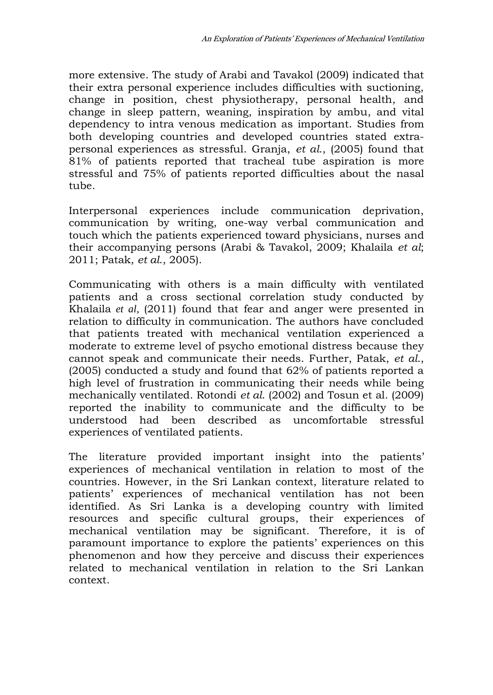more extensive. The study of Arabi and Tavakol (2009) indicated that their extra personal experience includes difficulties with suctioning, change in position, chest physiotherapy, personal health, and change in sleep pattern, weaning, inspiration by ambu, and vital dependency to intra venous medication as important. Studies from both developing countries and developed countries stated extrapersonal experiences as stressful. Granja, *et al*., (2005) found that 81% of patients reported that tracheal tube aspiration is more stressful and 75% of patients reported difficulties about the nasal tube.

Interpersonal experiences include communication deprivation, communication by writing, one-way verbal communication and touch which the patients experienced toward physicians, nurses and their accompanying persons (Arabi & Tavakol, 2009; Khalaila *et al*; 2011; Patak, *et al*., 2005).

Communicating with others is a main difficulty with ventilated patients and a cross sectional correlation study conducted by Khalaila *et al*, (2011) found that fear and anger were presented in relation to difficulty in communication. The authors have concluded that patients treated with mechanical ventilation experienced a moderate to extreme level of psycho emotional distress because they cannot speak and communicate their needs. Further, Patak, *et al*., (2005) conducted a study and found that 62% of patients reported a high level of frustration in communicating their needs while being mechanically ventilated. Rotondi *et al*. (2002) and Tosun et al. (2009) reported the inability to communicate and the difficulty to be understood had been described as uncomfortable stressful experiences of ventilated patients.

The literature provided important insight into the patients' experiences of mechanical ventilation in relation to most of the countries. However, in the Sri Lankan context, literature related to patients' experiences of mechanical ventilation has not been identified. As Sri Lanka is a developing country with limited resources and specific cultural groups, their experiences of mechanical ventilation may be significant. Therefore, it is of paramount importance to explore the patients' experiences on this phenomenon and how they perceive and discuss their experiences related to mechanical ventilation in relation to the Sri Lankan context.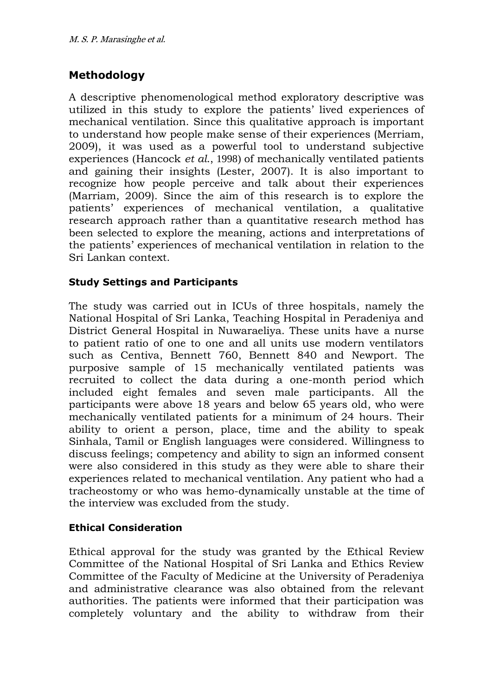# **Methodology**

A descriptive phenomenological method exploratory descriptive was utilized in this study to explore the patients' lived experiences of mechanical ventilation. Since this qualitative approach is important to understand how people make sense of their experiences (Merriam, 2009), it was used as a powerful tool to understand subjective experiences (Hancock *et al*., 1998) of mechanically ventilated patients and gaining their insights (Lester, 2007). It is also important to recognize how people perceive and talk about their experiences (Marriam, 2009). Since the aim of this research is to explore the patients' experiences of mechanical ventilation, a qualitative research approach rather than a quantitative research method has been selected to explore the meaning, actions and interpretations of the patients' experiences of mechanical ventilation in relation to the Sri Lankan context.

#### **Study Settings and Participants**

The study was carried out in ICUs of three hospitals, namely the National Hospital of Sri Lanka, Teaching Hospital in Peradeniya and District General Hospital in Nuwaraeliya. These units have a nurse to patient ratio of one to one and all units use modern ventilators such as Centiva, Bennett 760, Bennett 840 and Newport. The purposive sample of 15 mechanically ventilated patients was recruited to collect the data during a one-month period which included eight females and seven male participants. All the participants were above 18 years and below 65 years old, who were mechanically ventilated patients for a minimum of 24 hours. Their ability to orient a person, place, time and the ability to speak Sinhala, Tamil or English languages were considered. Willingness to discuss feelings; competency and ability to sign an informed consent were also considered in this study as they were able to share their experiences related to mechanical ventilation. Any patient who had a tracheostomy or who was hemo-dynamically unstable at the time of the interview was excluded from the study.

#### **Ethical Consideration**

Ethical approval for the study was granted by the Ethical Review Committee of the National Hospital of Sri Lanka and Ethics Review Committee of the Faculty of Medicine at the University of Peradeniya and administrative clearance was also obtained from the relevant authorities. The patients were informed that their participation was completely voluntary and the ability to withdraw from their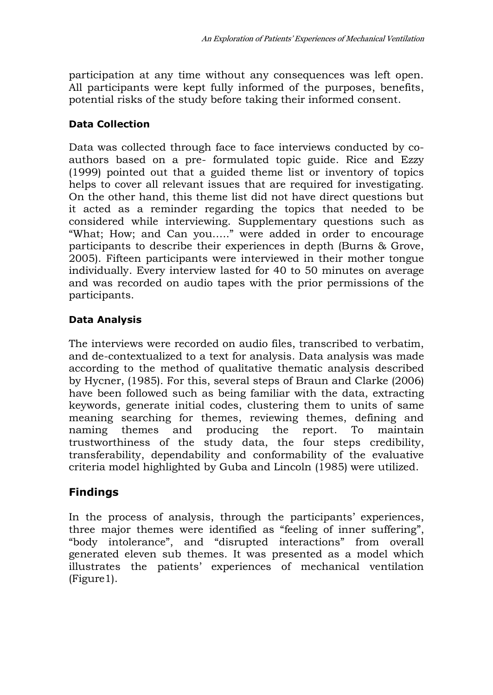participation at any time without any consequences was left open. All participants were kept fully informed of the purposes, benefits, potential risks of the study before taking their informed consent.

### **Data Collection**

Data was collected through face to face interviews conducted by coauthors based on a pre- formulated topic guide. Rice and Ezzy (1999) pointed out that a guided theme list or inventory of topics helps to cover all relevant issues that are required for investigating. On the other hand, this theme list did not have direct questions but it acted as a reminder regarding the topics that needed to be considered while interviewing. Supplementary questions such as "What; How; and Can you….." were added in order to encourage participants to describe their experiences in depth (Burns & Grove, 2005). Fifteen participants were interviewed in their mother tongue individually. Every interview lasted for 40 to 50 minutes on average and was recorded on audio tapes with the prior permissions of the participants.

### **Data Analysis**

The interviews were recorded on audio files, transcribed to verbatim, and de-contextualized to a text for analysis. Data analysis was made according to the method of qualitative thematic analysis described by Hycner, (1985). For this, several steps of Braun and Clarke (2006) have been followed such as being familiar with the data, extracting keywords, generate initial codes, clustering them to units of same meaning searching for themes, reviewing themes, defining and naming themes and producing the report. To maintain trustworthiness of the study data, the four steps credibility, transferability, dependability and conformability of the evaluative criteria model highlighted by Guba and Lincoln (1985) were utilized.

## **Findings**

In the process of analysis, through the participants' experiences, three major themes were identified as "feeling of inner suffering", "body intolerance", and "disrupted interactions" from overall generated eleven sub themes. It was presented as a model which illustrates the patients' experiences of mechanical ventilation (Figure1).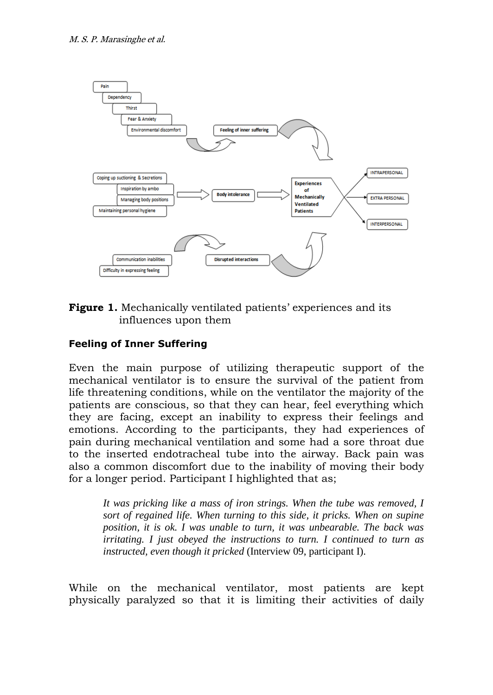

**Figure 1.** Mechanically ventilated patients' experiences and its influences upon them

### **Feeling of Inner Suffering**

Even the main purpose of utilizing therapeutic support of the mechanical ventilator is to ensure the survival of the patient from life threatening conditions, while on the ventilator the majority of the patients are conscious, so that they can hear, feel everything which they are facing, except an inability to express their feelings and emotions. According to the participants, they had experiences of pain during mechanical ventilation and some had a sore throat due to the inserted endotracheal tube into the airway. Back pain was also a common discomfort due to the inability of moving their body for a longer period. Participant I highlighted that as;

*It was pricking like a mass of iron strings. When the tube was removed, I sort of regained life. When turning to this side, it pricks. When on supine position, it is ok. I was unable to turn, it was unbearable. The back was irritating. I just obeyed the instructions to turn. I continued to turn as instructed, even though it pricked* (Interview 09, participant I).

While on the mechanical ventilator, most patients are kept physically paralyzed so that it is limiting their activities of daily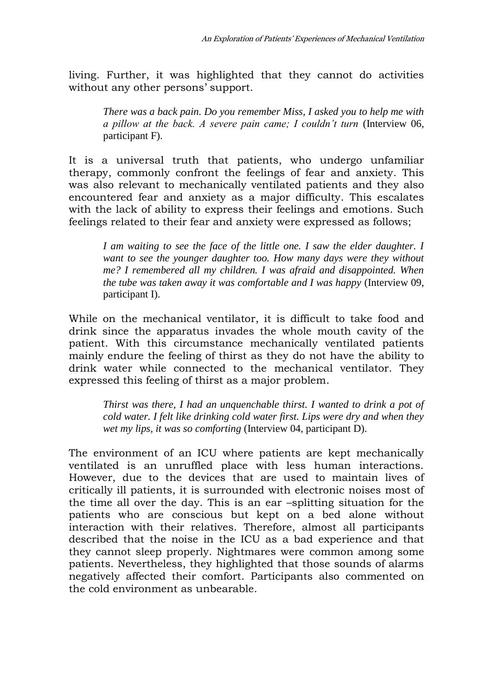living. Further, it was highlighted that they cannot do activities without any other persons' support.

*There was a back pain. Do you remember Miss, I asked you to help me with a pillow at the back. A severe pain came; I couldn't turn* (Interview 06, participant F).

It is a universal truth that patients, who undergo unfamiliar therapy, commonly confront the feelings of fear and anxiety. This was also relevant to mechanically ventilated patients and they also encountered fear and anxiety as a major difficulty. This escalates with the lack of ability to express their feelings and emotions. Such feelings related to their fear and anxiety were expressed as follows;

*I am waiting to see the face of the little one. I saw the elder daughter. I want to see the younger daughter too. How many days were they without me? I remembered all my children. I was afraid and disappointed. When the tube was taken away it was comfortable and I was happy* (Interview 09, participant I).

While on the mechanical ventilator, it is difficult to take food and drink since the apparatus invades the whole mouth cavity of the patient. With this circumstance mechanically ventilated patients mainly endure the feeling of thirst as they do not have the ability to drink water while connected to the mechanical ventilator. They expressed this feeling of thirst as a major problem.

*Thirst was there, I had an unquenchable thirst. I wanted to drink a pot of cold water. I felt like drinking cold water first. Lips were dry and when they wet my lips, it was so comforting* (Interview 04, participant D).

The environment of an ICU where patients are kept mechanically ventilated is an unruffled place with less human interactions. However, due to the devices that are used to maintain lives of critically ill patients, it is surrounded with electronic noises most of the time all over the day. This is an ear –splitting situation for the patients who are conscious but kept on a bed alone without interaction with their relatives. Therefore, almost all participants described that the noise in the ICU as a bad experience and that they cannot sleep properly. Nightmares were common among some patients. Nevertheless, they highlighted that those sounds of alarms negatively affected their comfort. Participants also commented on the cold environment as unbearable.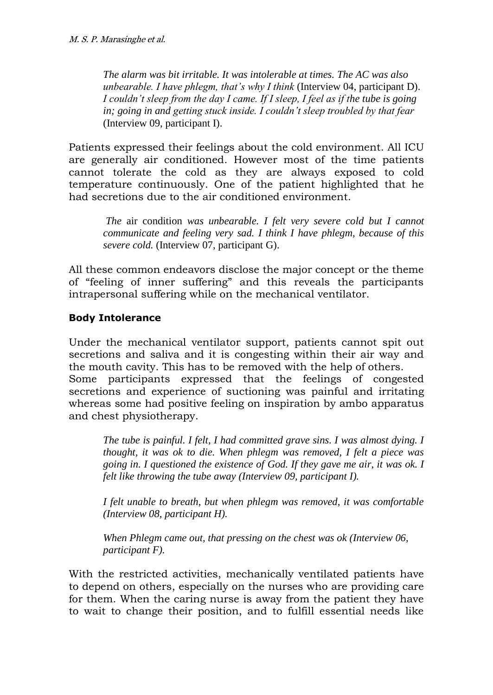*The alarm was bit irritable. It was intolerable at times. The AC was also unbearable. I have phlegm, that's why I think* (Interview 04, participant D). *I couldn't sleep from the day I came. If I sleep, I feel as if the tube is going in; going in and getting stuck inside. I couldn't sleep troubled by that fear*  (Interview 09, participant I).

Patients expressed their feelings about the cold environment. All ICU are generally air conditioned. However most of the time patients cannot tolerate the cold as they are always exposed to cold temperature continuously. One of the patient highlighted that he had secretions due to the air conditioned environment.

*The* air condition *was unbearable. I felt very severe cold but I cannot communicate and feeling very sad. I think I have phlegm, because of this severe cold.* (Interview 07, participant G).

All these common endeavors disclose the major concept or the theme of "feeling of inner suffering" and this reveals the participants intrapersonal suffering while on the mechanical ventilator.

### **Body Intolerance**

Under the mechanical ventilator support, patients cannot spit out secretions and saliva and it is congesting within their air way and the mouth cavity. This has to be removed with the help of others. Some participants expressed that the feelings of congested secretions and experience of suctioning was painful and irritating whereas some had positive feeling on inspiration by ambo apparatus and chest physiotherapy.

*The tube is painful. I felt, I had committed grave sins. I was almost dying. I thought, it was ok to die. When phlegm was removed, I felt a piece was going in. I questioned the existence of God. If they gave me air, it was ok. I felt like throwing the tube away (Interview 09, participant I).*

*I felt unable to breath, but when phlegm was removed, it was comfortable (Interview 08, participant H).*

*When Phlegm came out, that pressing on the chest was ok (Interview 06, participant F).*

With the restricted activities, mechanically ventilated patients have to depend on others, especially on the nurses who are providing care for them. When the caring nurse is away from the patient they have to wait to change their position, and to fulfill essential needs like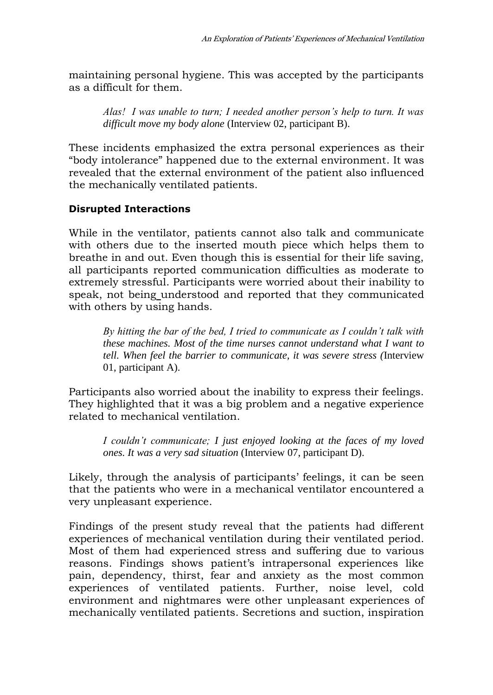maintaining personal hygiene. This was accepted by the participants as a difficult for them.

*Alas! I was unable to turn; I needed another person's help to turn. It was difficult move my body alone* (Interview 02, participant B).

These incidents emphasized the extra personal experiences as their "body intolerance" happened due to the external environment. It was revealed that the external environment of the patient also influenced the mechanically ventilated patients.

#### **Disrupted Interactions**

While in the ventilator, patients cannot also talk and communicate with others due to the inserted mouth piece which helps them to breathe in and out. Even though this is essential for their life saving, all participants reported communication difficulties as moderate to extremely stressful. Participants were worried about their inability to speak, not being understood and reported that they communicated with others by using hands.

*By hitting the bar of the bed, I tried to communicate as I couldn't talk with these machines. Most of the time nurses cannot understand what I want to tell. When feel the barrier to communicate, it was severe stress (*Interview 01, participant A).

Participants also worried about the inability to express their feelings. They highlighted that it was a big problem and a negative experience related to mechanical ventilation.

*I couldn't communicate; I just enjoyed looking at the faces of my loved ones. It was a very sad situation* (Interview 07, participant D).

Likely, through the analysis of participants' feelings, it can be seen that the patients who were in a mechanical ventilator encountered a very unpleasant experience.

Findings of the present study reveal that the patients had different experiences of mechanical ventilation during their ventilated period. Most of them had experienced stress and suffering due to various reasons. Findings shows patient's intrapersonal experiences like pain, dependency, thirst, fear and anxiety as the most common experiences of ventilated patients. Further, noise level, cold environment and nightmares were other unpleasant experiences of mechanically ventilated patients. Secretions and suction, inspiration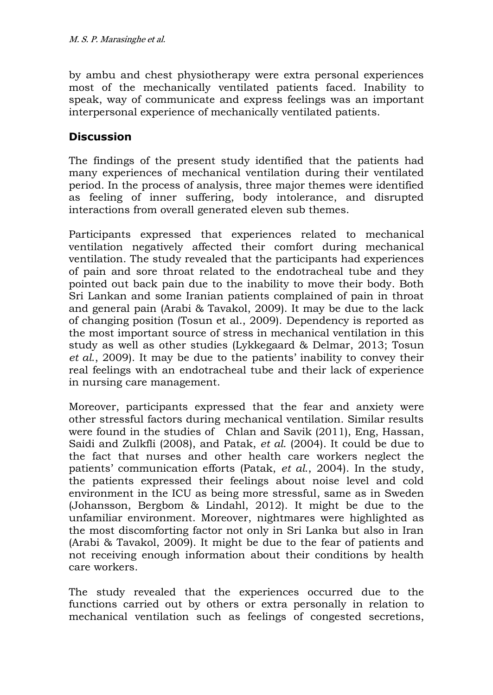by ambu and chest physiotherapy were extra personal experiences most of the mechanically ventilated patients faced. Inability to speak, way of communicate and express feelings was an important interpersonal experience of mechanically ventilated patients.

## **Discussion**

The findings of the present study identified that the patients had many experiences of mechanical ventilation during their ventilated period. In the process of analysis, three major themes were identified as feeling of inner suffering, body intolerance, and disrupted interactions from overall generated eleven sub themes.

Participants expressed that experiences related to mechanical ventilation negatively affected their comfort during mechanical ventilation. The study revealed that the participants had experiences of pain and sore throat related to the endotracheal tube and they pointed out back pain due to the inability to move their body. Both Sri Lankan and some Iranian patients complained of pain in throat and general pain (Arabi & Tavakol, 2009). It may be due to the lack of changing position (Tosun et al., 2009). Dependency is reported as the most important source of stress in mechanical ventilation in this study as well as other studies (Lykkegaard & Delmar, 2013; Tosun *et al*., 2009). It may be due to the patients' inability to convey their real feelings with an endotracheal tube and their lack of experience in nursing care management.

Moreover, participants expressed that the fear and anxiety were other stressful factors during mechanical ventilation. Similar results were found in the studies of Chlan and Savik (2011), Eng, Hassan, Saidi and Zulkfli (2008), and Patak, *et al*. (2004). It could be due to the fact that nurses and other health care workers neglect the patients' communication efforts (Patak, *et al*., 2004). In the study, the patients expressed their feelings about noise level and cold environment in the ICU as being more stressful, same as in Sweden (Johansson, Bergbom & Lindahl, 2012). It might be due to the unfamiliar environment. Moreover, nightmares were highlighted as the most discomforting factor not only in Sri Lanka but also in Iran (Arabi & Tavakol, 2009). It might be due to the fear of patients and not receiving enough information about their conditions by health care workers.

The study revealed that the experiences occurred due to the functions carried out by others or extra personally in relation to mechanical ventilation such as feelings of congested secretions,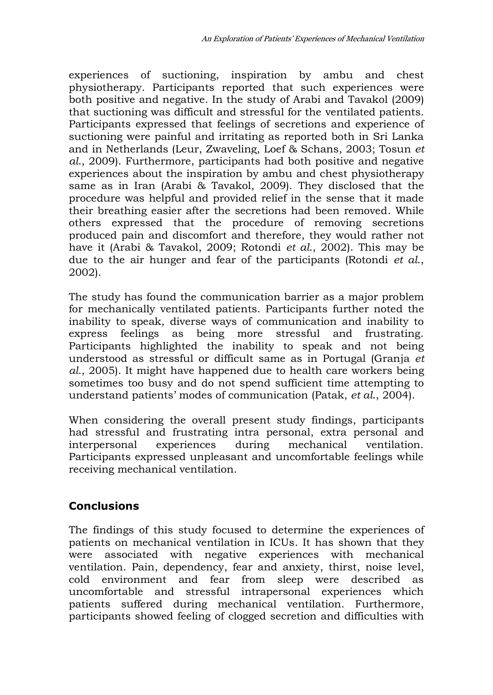experiences of suctioning, inspiration by ambu and chest physiotherapy. Participants reported that such experiences were both positive and negative. In the study of Arabi and Tavakol (2009) that suctioning was difficult and stressful for the ventilated patients. Participants expressed that feelings of secretions and experience of suctioning were painful and irritating as reported both in Sri Lanka and in Netherlands (Leur, Zwaveling, Loef & Schans, 2003; Tosun *et al*., 2009). Furthermore, participants had both positive and negative experiences about the inspiration by ambu and chest physiotherapy same as in Iran (Arabi & Tavakol, 2009). They disclosed that the procedure was helpful and provided relief in the sense that it made their breathing easier after the secretions had been removed. While others expressed that the procedure of removing secretions produced pain and discomfort and therefore, they would rather not have it (Arabi & Tavakol, 2009; Rotondi *et al*., 2002). This may be due to the air hunger and fear of the participants (Rotondi *et al*., 2002).

The study has found the communication barrier as a major problem for mechanically ventilated patients. Participants further noted the inability to speak, diverse ways of communication and inability to express feelings as being more stressful and frustrating. Participants highlighted the inability to speak and not being understood as stressful or difficult same as in Portugal (Granja *et al*., 2005). It might have happened due to health care workers being sometimes too busy and do not spend sufficient time attempting to understand patients' modes of communication (Patak, *et al*., 2004).

When considering the overall present study findings, participants had stressful and frustrating intra personal, extra personal and interpersonal experiences during mechanical ventilation. Participants expressed unpleasant and uncomfortable feelings while receiving mechanical ventilation.

## **Conclusions**

The findings of this study focused to determine the experiences of patients on mechanical ventilation in ICUs. It has shown that they were associated with negative experiences with mechanical ventilation. Pain, dependency, fear and anxiety, thirst, noise level, cold environment and fear from sleep were described as uncomfortable and stressful intrapersonal experiences which patients suffered during mechanical ventilation. Furthermore, participants showed feeling of clogged secretion and difficulties with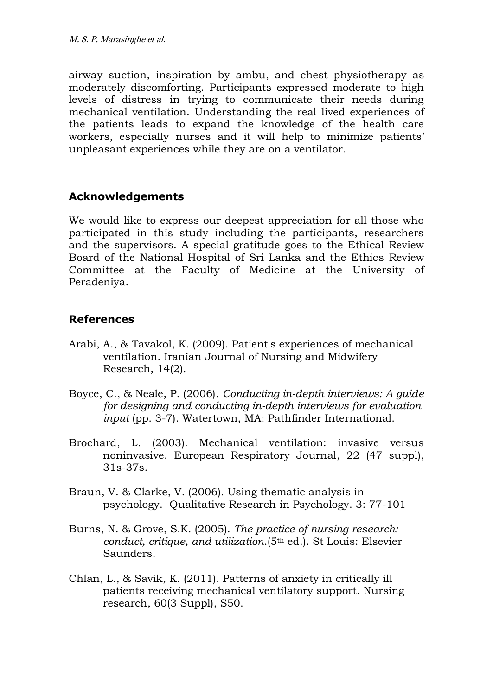airway suction, inspiration by ambu, and chest physiotherapy as moderately discomforting. Participants expressed moderate to high levels of distress in trying to communicate their needs during mechanical ventilation. Understanding the real lived experiences of the patients leads to expand the knowledge of the health care workers, especially nurses and it will help to minimize patients' unpleasant experiences while they are on a ventilator.

### **Acknowledgements**

We would like to express our deepest appreciation for all those who participated in this study including the participants, researchers and the supervisors. A special gratitude goes to the Ethical Review Board of the National Hospital of Sri Lanka and the Ethics Review Committee at the Faculty of Medicine at the University of Peradeniya.

### **References**

- Arabi, A., & Tavakol, K. (2009). Patient's experiences of mechanical ventilation. Iranian Journal of Nursing and Midwifery Research, 14(2).
- Boyce, C., & Neale, P. (2006). *Conducting in-depth interviews: A guide for designing and conducting in-depth interviews for evaluation input* (pp. 3-7). Watertown, MA: Pathfinder International.
- Brochard, L. (2003). Mechanical ventilation: invasive versus noninvasive. European Respiratory Journal, 22 (47 suppl), 31s-37s.
- Braun, V. & Clarke, V. (2006). Using thematic analysis in psychology. Qualitative Research in Psychology. 3: 77-101
- Burns, N. & Grove, S.K. (2005). *The practice of nursing research: conduct, critique, and utilization*.(5th ed.). St Louis: Elsevier Saunders.
- Chlan, L., & Savik, K. (2011). Patterns of anxiety in critically ill patients receiving mechanical ventilatory support. Nursing research, 60(3 Suppl), S50.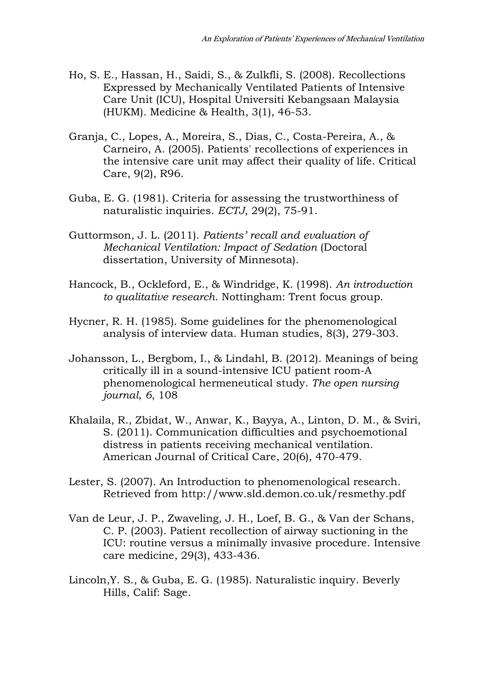- Ho, S. E., Hassan, H., Saidi, S., & Zulkfli, S. (2008). Recollections Expressed by Mechanically Ventilated Patients of Intensive Care Unit (ICU), Hospital Universiti Kebangsaan Malaysia (HUKM). Medicine & Health, 3(1), 46-53.
- Granja, C., Lopes, A., Moreira, S., Dias, C., Costa-Pereira, A., & Carneiro, A. (2005). Patients' recollections of experiences in the intensive care unit may affect their quality of life. Critical Care, 9(2), R96.
- Guba, E. G. (1981). Criteria for assessing the trustworthiness of naturalistic inquiries. *ECTJ*, 29(2), 75-91.
- Guttormson, J. L. (2011). *Patients' recall and evaluation of Mechanical Ventilation: Impact of Sedation* (Doctoral dissertation, University of Minnesota).
- Hancock, B., Ockleford, E., & Windridge, K. (1998). *An introduction to qualitative research*. Nottingham: Trent focus group.
- Hycner, R. H. (1985). Some guidelines for the phenomenological analysis of interview data. Human studies, 8(3), 279-303.
- Johansson, L., Bergbom, I., & Lindahl, B. (2012). Meanings of being critically ill in a sound-intensive ICU patient room-A phenomenological hermeneutical study. *The open nursing journal*, *6*, 108
- Khalaila, R., Zbidat, W., Anwar, K., Bayya, A., Linton, D. M., & Sviri, S. (2011). Communication difficulties and psychoemotional distress in patients receiving mechanical ventilation. American Journal of Critical Care, 20(6), 470-479.
- Lester, S. (2007). An Introduction to phenomenological research. Retrieved from<http://www.sld.demon.co.uk/resmethy.pdf>
- Van de Leur, J. P., Zwaveling, J. H., Loef, B. G., & Van der Schans, C. P. (2003). Patient recollection of airway suctioning in the ICU: routine versus a minimally invasive procedure. Intensive care medicine, 29(3), 433-436.
- Lincoln,Y. S., & Guba, E. G. (1985). Naturalistic inquiry. Beverly Hills, Calif: Sage.